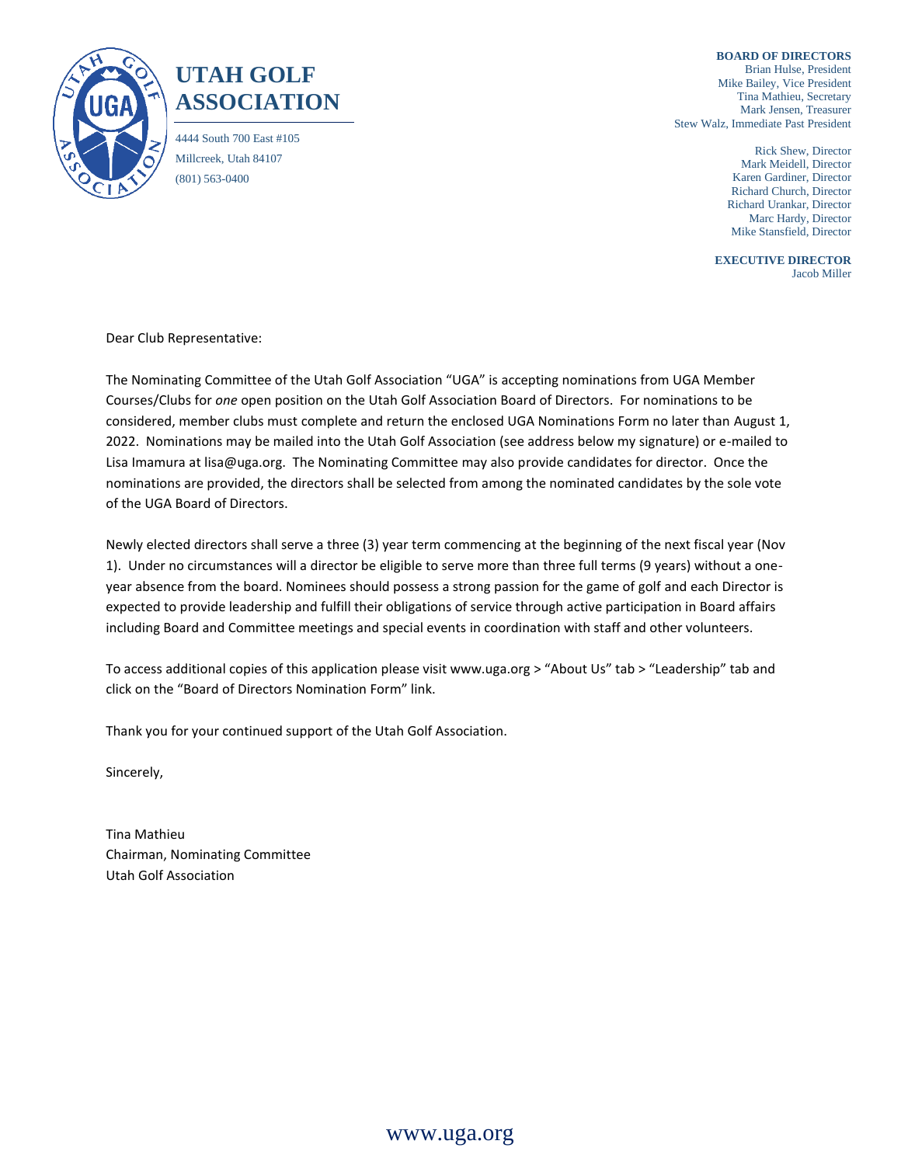

## **UTAH GOLF ASSOCIATION**

4444 South 700 East #105 Millcreek, Utah 84107 (801) 563-0400

**BOARD OF DIRECTORS** Brian Hulse, President Mike Bailey, Vice President Tina Mathieu, Secretary Mark Jensen, Treasurer Stew Walz, Immediate Past President

> Rick Shew, Director Mark Meidell, Director Karen Gardiner, Director Richard Church, Director Richard Urankar, Director Marc Hardy, Director Mike Stansfield, Director

**EXECUTIVE DIRECTOR** Jacob Miller

Dear Club Representative:

The Nominating Committee of the Utah Golf Association "UGA" is accepting nominations from UGA Member Courses/Clubs for *one* open position on the Utah Golf Association Board of Directors. For nominations to be considered, member clubs must complete and return the enclosed UGA Nominations Form no later than August 1, 2022. Nominations may be mailed into the Utah Golf Association (see address below my signature) or e-mailed to Lisa Imamura at lisa@uga.org. The Nominating Committee may also provide candidates for director. Once the nominations are provided, the directors shall be selected from among the nominated candidates by the sole vote of the UGA Board of Directors.

Newly elected directors shall serve a three (3) year term commencing at the beginning of the next fiscal year (Nov 1). Under no circumstances will a director be eligible to serve more than three full terms (9 years) without a oneyear absence from the board. Nominees should possess a strong passion for the game of golf and each Director is expected to provide leadership and fulfill their obligations of service through active participation in Board affairs including Board and Committee meetings and special events in coordination with staff and other volunteers.

To access additional copies of this application please visit www.uga.org > "About Us" tab > "Leadership" tab and click on the "Board of Directors Nomination Form" link.

Thank you for your continued support of the Utah Golf Association.

Sincerely,

Tina Mathieu Chairman, Nominating Committee Utah Golf Association

www.uga.org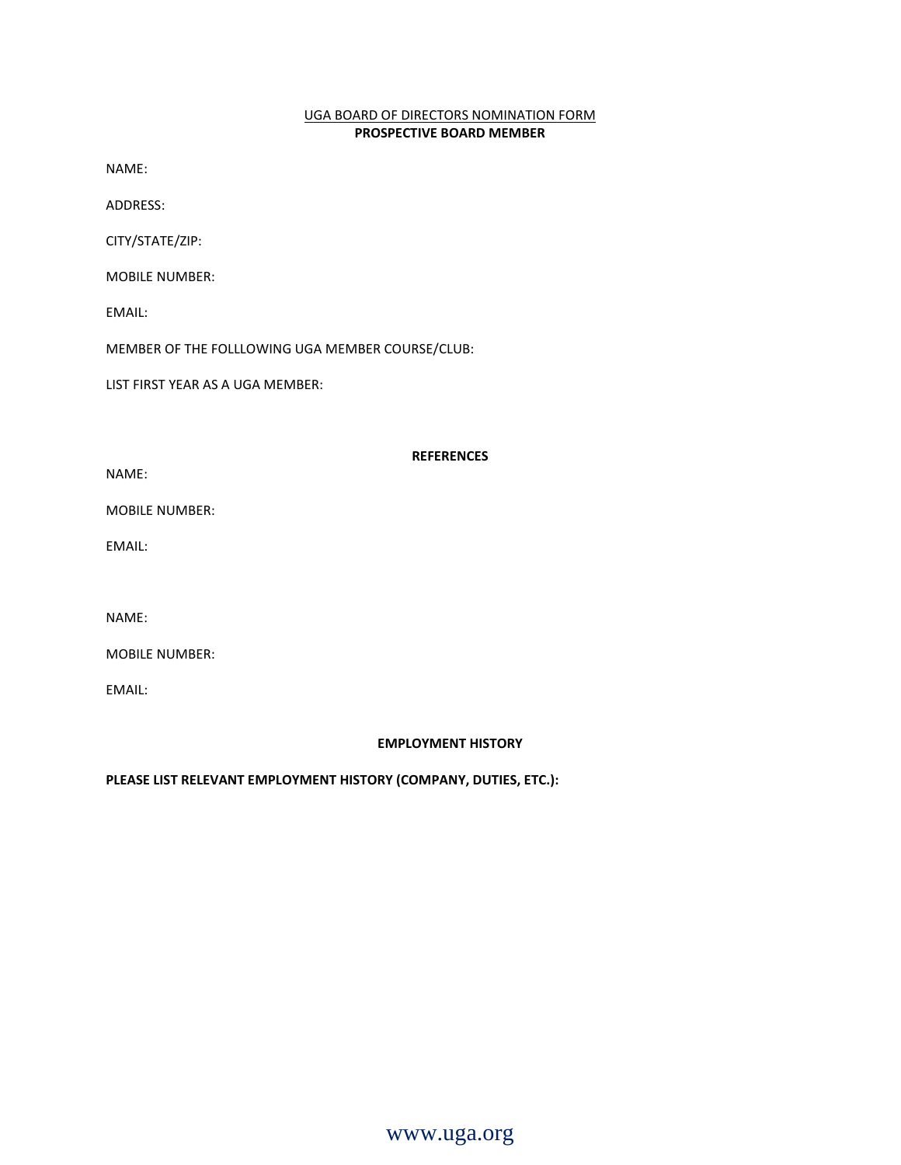## UGA BOARD OF DIRECTORS NOMINATION FORM **PROSPECTIVE BOARD MEMBER**

NAME:

ADDRESS:

CITY/STATE/ZIP:

MOBILE NUMBER:

EMAIL:

MEMBER OF THE FOLLLOWING UGA MEMBER COURSE/CLUB:

LIST FIRST YEAR AS A UGA MEMBER:

## **REFERENCES**

NAME:

MOBILE NUMBER:

EMAIL:

NAME:

MOBILE NUMBER:

EMAIL:

## **EMPLOYMENT HISTORY**

**PLEASE LIST RELEVANT EMPLOYMENT HISTORY (COMPANY, DUTIES, ETC.):**

www.uga.org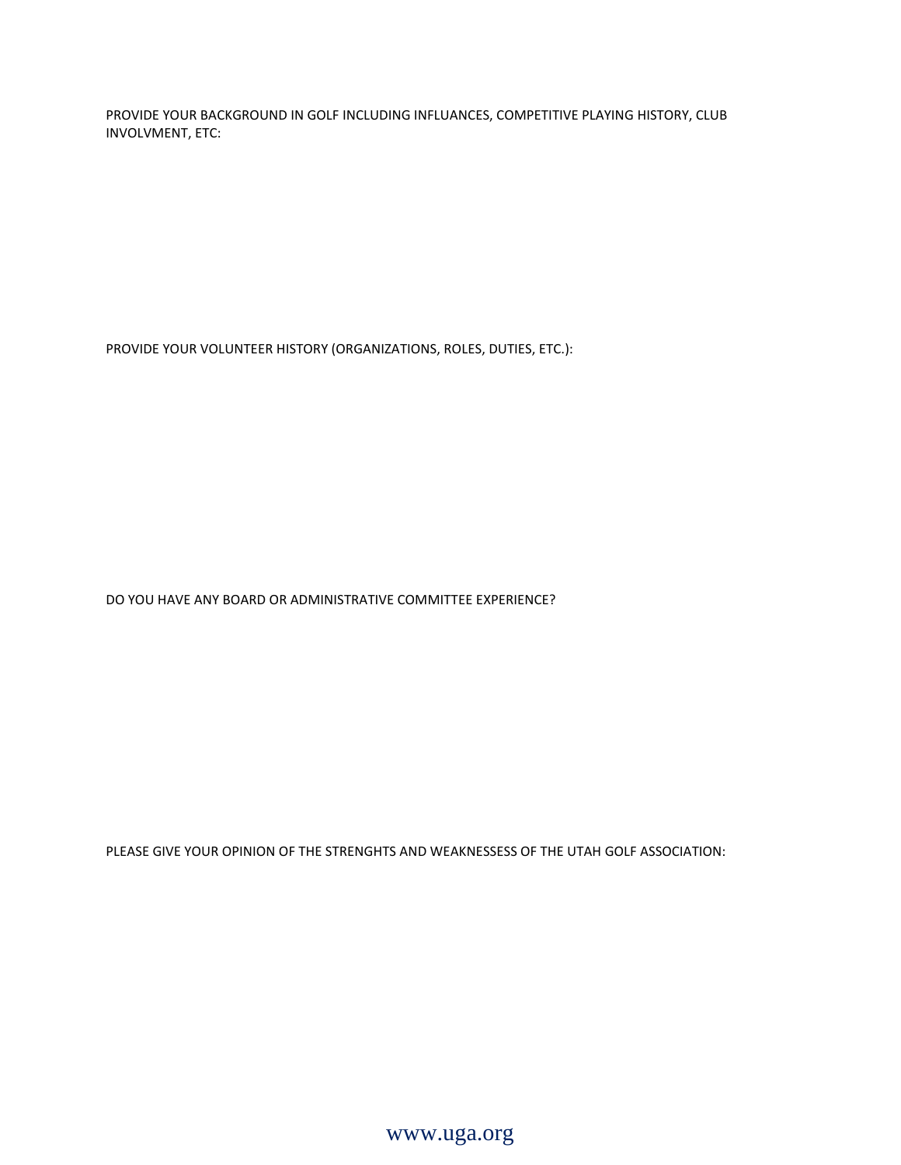PROVIDE YOUR BACKGROUND IN GOLF INCLUDING INFLUANCES, COMPETITIVE PLAYING HISTORY, CLUB INVOLVMENT, ETC:

PROVIDE YOUR VOLUNTEER HISTORY (ORGANIZATIONS, ROLES, DUTIES, ETC.):

DO YOU HAVE ANY BOARD OR ADMINISTRATIVE COMMITTEE EXPERIENCE?

PLEASE GIVE YOUR OPINION OF THE STRENGHTS AND WEAKNESSESS OF THE UTAH GOLF ASSOCIATION:

www.uga.org